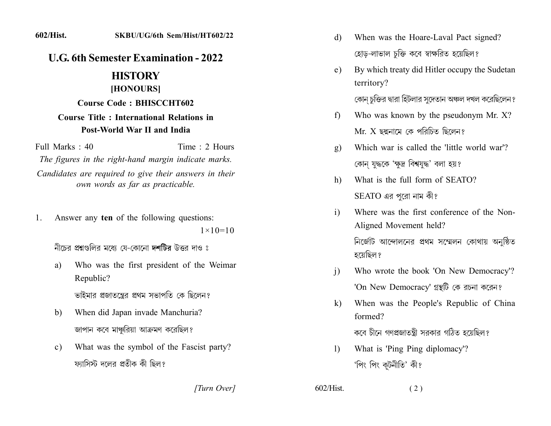602/Hist.

## **U.G. 6th Semester Examination - 2022**

## **HISTORY**

## [HONOURS]

**Course Code: BHISCCHT602** 

## **Course Title: International Relations in** Post-World War II and India

Full Marks  $\cdot$  40

Time  $\cdot$  2 Hours

The figures in the right-hand margin indicate marks. Candidates are required to give their answers in their own words as far as practicable.

Answer any ten of the following questions:  $1_{-}$ 

 $1 \times 10 = 10$ 

নীচের প্রশ্নগুলির মধ্যে যে-কোনো দশটির উত্তর দাও ঃ

Who was the first president of the Weimar a) Republic?

ভাইমার প্রজাতন্ত্রের প্রথম সভাপতি কে ছিলেন?

- When did Japan invade Manchuria?  $b)$ জাপান কবে মাঞ্চরিয়া আক্রমণ করেছিল?
- What was the symbol of the Fascist party?  $c)$ ফ্যাসিস্ট দলের প্রতীক কী ছিল?

[Turn Over]

- When was the Hoare-Laval Pact signed? d) হোড়-লাভাল চুক্তি কবে স্বাক্ষরিত হয়েছিল?
- By which treaty did Hitler occupy the Sudetan  $e)$ territory?

কোন চুক্তির দ্বারা হিটলার সুদেতান অঞ্চল দখল করেছিলেন ?

- Who was known by the pseudonym Mr. X?  $f$  $Mr. X$  ছদ্মনামে কে পরিচিত ছিলেন?
- Which war is called the 'little world war'?  $\mathbf{g}$ ) কোন যুদ্ধকে 'ক্ষুদ্র বিশ্বযুদ্ধ' বলা হয়?
- What is the full form of SEATO?  $h$  $SEATO$  এর পরো নাম কী?
- Where was the first conference of the Non- $\mathbf{i}$ Aligned Movement held?

নির্জেটি আন্দোলনের প্রথম সম্মেলন কোথায় অনুষ্ঠিত হয়েছিল ?

- Who wrote the book 'On New Democracy'?  $\overline{1}$ 'On New Democracy' গ্রন্থটি কে রচনা করেন?
- When was the People's Republic of China  $k)$ formed?

কবে চীনে গণপ্রজাতন্ত্রী সরকার গঠিত হয়েছিল?

 $(2)$ 

What is 'Ping Ping diplomacy'?  $\mathbf{D}$ 'পিং পিং কূটনীতি' কী?

 $602/Hist$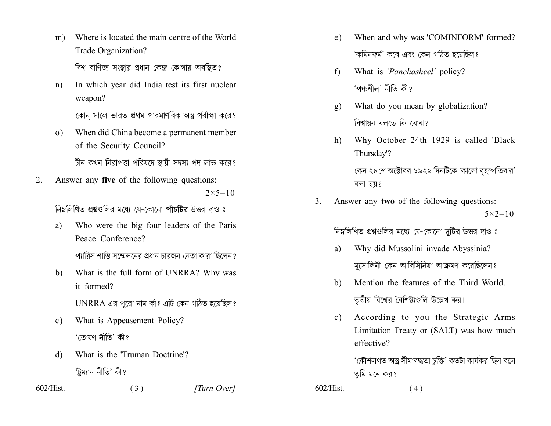- Where is located the main centre of the World  $m)$ Trade Organization? বিশ্ব বাণিজ্য সংস্থার প্রধান কেন্দ্র কোথায় অবস্থিত?
- In which year did India test its first nuclear  $n$ ) weapon?

কোন সালে ভারত প্রথম পারমাণবিক অস্ত্র পরীক্ষা করে?

- When did China become a permanent member  $\Omega$ ) of the Security Council? চীন কখন নিরাপত্তা পরিষদে স্থায়ী সদস্য পদ লাভ করে?
- Answer any five of the following questions: 2.  $2 \times 5 = 10$

নিম্নলিখিত প্ৰশ্নগুলির মধ্যে যে-কোনো পাঁচটিব উত্তর দাও ঃ

Who were the big four leaders of the Paris a) Peace Conference?

প্যারিস শান্তি সম্মেলনের প্রধান চারজন নেতা কারা ছিলেন?

What is the full form of UNRRA? Why was b) it formed?

UNRRA এর পরো নাম কী? এটি কেন গঠিত হয়েছিল?

- What is Appeasement Policy?  $c)$ 'তোষণ নীতি' কী?
- What is the 'Truman Doctrine'? d) 'ট্ৰম্যান নীতি' কী?

 $(3)$ 

 $602/Hist$ 

[Turn Over]

- When and why was 'COMINFORM' formed? e) 'কমিনফর্ম' কবে এবং কেন গঠিত হয়েছিল?
- What is 'Panchasheel' policy?  $f$ 'পঞ্চশীল' নীতি কী?
- What do you mean by globalization?  $g)$ বিশ্বায়ন বলতে কি বোঝ?
- Why October 24th 1929 is called 'Black  $h)$ Thursday'?

কেন ২৪শে অক্টোবর ১৯২৯ দিনটিকে 'কালো বৃহস্পতিবার' বলা হয়?

Answer any two of the following questions: 3.  $5 \times 2 = 10$ 

নিম্নলিখিত প্রশ্নগুলির মধ্যে যে-কোনো দুটির উত্তর দাও ঃ

- Why did Mussolini invade Abyssinia? a) মসোলিনী কেন আবিসিনিয়া আক্রমণ করেছিলেন?
- Mention the features of the Third World. b) তৃতীয় বিশ্বের বৈশিষ্ট্যগুলি উল্লেখ কর।
- According to you the Strategic Arms  $c$ ) Limitation Treaty or (SALT) was how much effective?

'কৌশলগত অস্ত্র সীমাবদ্ধতা চক্তি' কতটা কাৰ্যকর ছিল বলে তমি মনে কর?

 $602/Hist$ 

 $(4)$